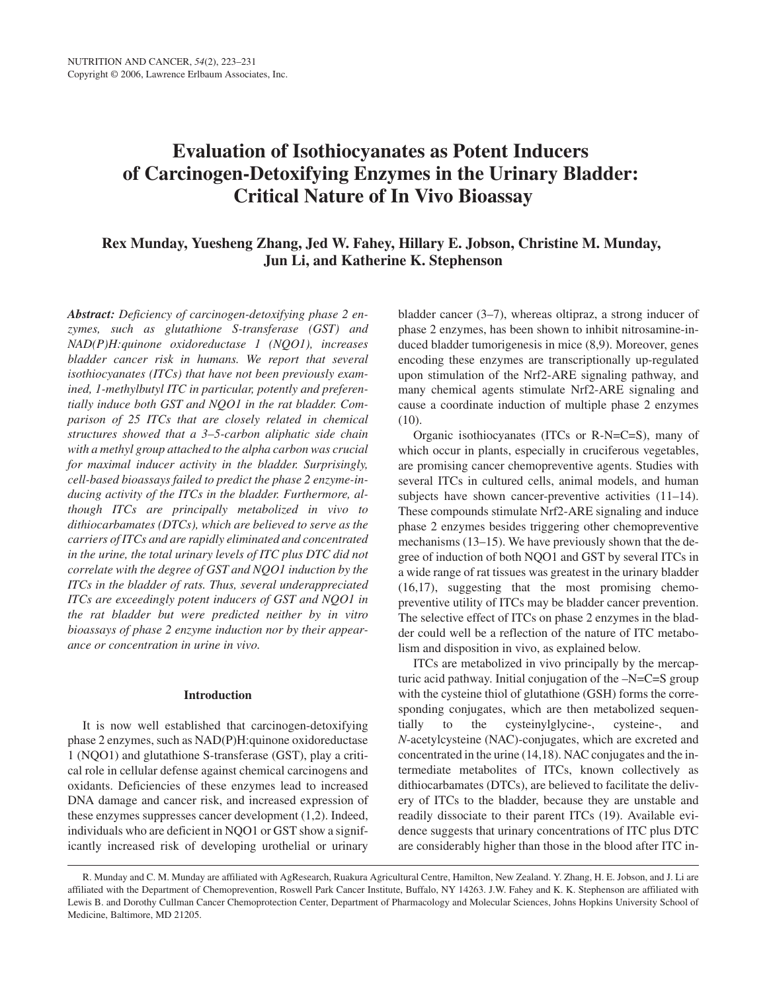# **Evaluation of Isothiocyanates as Potent Inducers of Carcinogen-Detoxifying Enzymes in the Urinary Bladder: Critical Nature of In Vivo Bioassay**

## **Rex Munday, Yuesheng Zhang, Jed W. Fahey, Hillary E. Jobson, Christine M. Munday, Jun Li, and Katherine K. Stephenson**

*Abstract: Deficiency of carcinogen-detoxifying phase 2 enzymes, such as glutathione S-transferase (GST) and NAD(P)H:quinone oxidoreductase 1 (NQO1), increases bladder cancer risk in humans. We report that several isothiocyanates (ITCs) that have not been previously examined, 1-methylbutyl ITC in particular, potently and preferentially induce both GST and NQO1 in the rat bladder. Comparison of 25 ITCs that are closely related in chemical structures showed that a 3–5-carbon aliphatic side chain with a methyl group attached to the alpha carbon was crucial for maximal inducer activity in the bladder. Surprisingly, cell-based bioassays failed to predict the phase 2 enzyme-inducing activity of the ITCs in the bladder. Furthermore, although ITCs are principally metabolized in vivo to dithiocarbamates (DTCs), which are believed to serve as the carriers of ITCs and are rapidly eliminated and concentrated in the urine, the total urinary levels of ITC plus DTC did not correlate with the degree of GST and NQO1 induction by the ITCs in the bladder of rats. Thus, several underappreciated ITCs are exceedingly potent inducers of GST and NQO1 in the rat bladder but were predicted neither by in vitro bioassays of phase 2 enzyme induction nor by their appearance or concentration in urine in vivo.*

#### **Introduction**

It is now well established that carcinogen-detoxifying phase 2 enzymes, such as NAD(P)H:quinone oxidoreductase 1 (NQO1) and glutathione S-transferase (GST), play a critical role in cellular defense against chemical carcinogens and oxidants. Deficiencies of these enzymes lead to increased DNA damage and cancer risk, and increased expression of these enzymes suppresses cancer development (1,2). Indeed, individuals who are deficient in NQO1 or GST show a significantly increased risk of developing urothelial or urinary

bladder cancer (3–7), whereas oltipraz, a strong inducer of phase 2 enzymes, has been shown to inhibit nitrosamine-induced bladder tumorigenesis in mice (8,9). Moreover, genes encoding these enzymes are transcriptionally up-regulated upon stimulation of the Nrf2-ARE signaling pathway, and many chemical agents stimulate Nrf2-ARE signaling and cause a coordinate induction of multiple phase 2 enzymes (10).

Organic isothiocyanates (ITCs or R-N=C=S), many of which occur in plants, especially in cruciferous vegetables, are promising cancer chemopreventive agents. Studies with several ITCs in cultured cells, animal models, and human subjects have shown cancer-preventive activities (11–14). These compounds stimulate Nrf2-ARE signaling and induce phase 2 enzymes besides triggering other chemopreventive mechanisms (13–15). We have previously shown that the degree of induction of both NQO1 and GST by several ITCs in a wide range of rat tissues was greatest in the urinary bladder (16,17), suggesting that the most promising chemopreventive utility of ITCs may be bladder cancer prevention. The selective effect of ITCs on phase 2 enzymes in the bladder could well be a reflection of the nature of ITC metabolism and disposition in vivo, as explained below.

ITCs are metabolized in vivo principally by the mercapturic acid pathway. Initial conjugation of the –N=C=S group with the cysteine thiol of glutathione (GSH) forms the corresponding conjugates, which are then metabolized sequentially to the cysteinylglycine-, cysteine-, and *N*-acetylcysteine (NAC)-conjugates, which are excreted and concentrated in the urine (14,18). NAC conjugates and the intermediate metabolites of ITCs, known collectively as dithiocarbamates (DTCs), are believed to facilitate the delivery of ITCs to the bladder, because they are unstable and readily dissociate to their parent ITCs (19). Available evidence suggests that urinary concentrations of ITC plus DTC are considerably higher than those in the blood after ITC in-

R. Munday and C. M. Munday are affiliated with AgResearch, Ruakura Agricultural Centre, Hamilton, New Zealand. Y. Zhang, H. E. Jobson, and J. Li are affiliated with the Department of Chemoprevention, Roswell Park Cancer Institute, Buffalo, NY 14263. J.W. Fahey and K. K. Stephenson are affiliated with Lewis B. and Dorothy Cullman Cancer Chemoprotection Center, Department of Pharmacology and Molecular Sciences, Johns Hopkins University School of Medicine, Baltimore, MD 21205.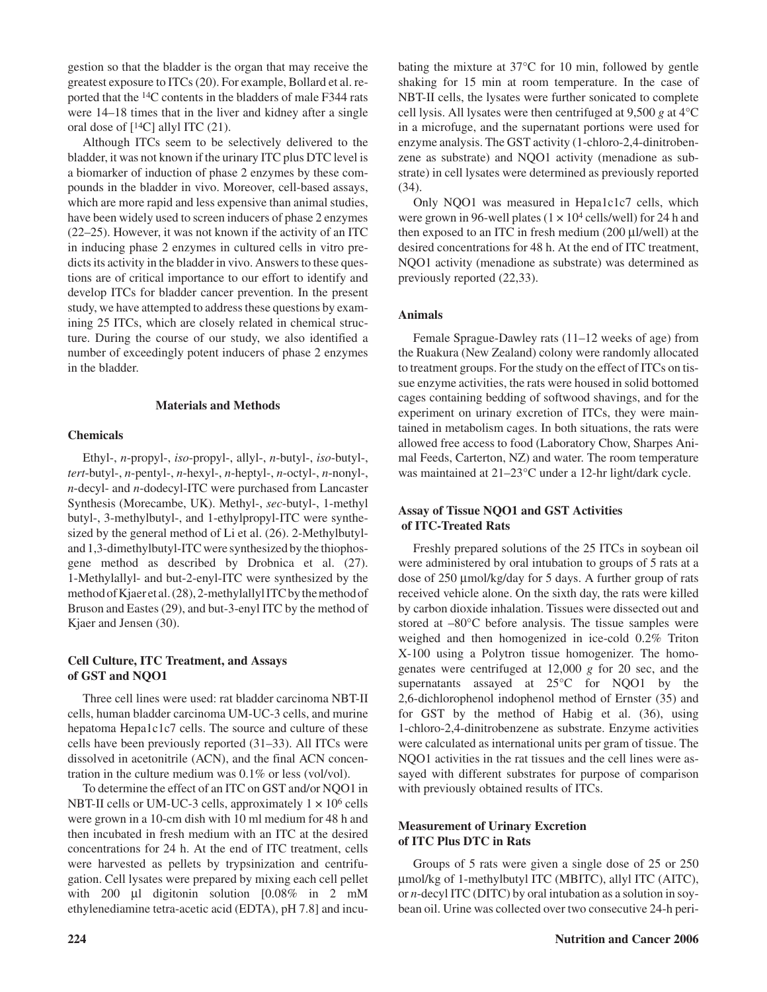gestion so that the bladder is the organ that may receive the greatest exposure to ITCs (20). For example, Bollard et al. reported that the 14C contents in the bladders of male F344 rats were 14–18 times that in the liver and kidney after a single oral dose of  $[$ <sup>14</sup>C] allyl ITC (21).

Although ITCs seem to be selectively delivered to the bladder, it was not known if the urinary ITC plus DTC level is a biomarker of induction of phase 2 enzymes by these compounds in the bladder in vivo. Moreover, cell-based assays, which are more rapid and less expensive than animal studies, have been widely used to screen inducers of phase 2 enzymes (22–25). However, it was not known if the activity of an ITC in inducing phase 2 enzymes in cultured cells in vitro predicts its activity in the bladder in vivo. Answers to these questions are of critical importance to our effort to identify and develop ITCs for bladder cancer prevention. In the present study, we have attempted to address these questions by examining 25 ITCs, which are closely related in chemical structure. During the course of our study, we also identified a number of exceedingly potent inducers of phase 2 enzymes in the bladder.

#### **Materials and Methods**

#### **Chemicals**

Ethyl-, *n*-propyl-, *iso*-propyl-, allyl-, *n*-butyl-, *iso*-butyl-, *tert*-butyl-, *n*-pentyl-, *n*-hexyl-, *n*-heptyl-, *n*-octyl-, *n*-nonyl-, *n*-decyl- and *n*-dodecyl-ITC were purchased from Lancaster Synthesis (Morecambe, UK). Methyl-, *sec*-butyl-, 1-methyl butyl-, 3-methylbutyl-, and 1-ethylpropyl-ITC were synthesized by the general method of Li et al. (26). 2-Methylbutyland 1,3-dimethylbutyl-ITC were synthesized by the thiophosgene method as described by Drobnica et al. (27). 1-Methylallyl- and but-2-enyl-ITC were synthesized by the method of Kjaer et al. (28), 2-methylallyl ITC by the method of Bruson and Eastes (29), and but-3-enyl ITC by the method of Kjaer and Jensen (30).

## **Cell Culture, ITC Treatment, and Assays of GST and NQO1**

Three cell lines were used: rat bladder carcinoma NBT-II cells, human bladder carcinoma UM-UC-3 cells, and murine hepatoma Hepa1c1c7 cells. The source and culture of these cells have been previously reported (31–33). All ITCs were dissolved in acetonitrile (ACN), and the final ACN concentration in the culture medium was 0.1% or less (vol/vol).

To determine the effect of an ITC on GST and/or NQO1 in NBT-II cells or UM-UC-3 cells, approximately  $1 \times 10^6$  cells were grown in a 10-cm dish with 10 ml medium for 48 h and then incubated in fresh medium with an ITC at the desired concentrations for 24 h. At the end of ITC treatment, cells were harvested as pellets by trypsinization and centrifugation. Cell lysates were prepared by mixing each cell pellet with 200 µl digitonin solution [0.08% in 2 mM ethylenediamine tetra-acetic acid (EDTA), pH 7.8] and incu-

bating the mixture at 37°C for 10 min, followed by gentle shaking for 15 min at room temperature. In the case of NBT-II cells, the lysates were further sonicated to complete cell lysis. All lysates were then centrifuged at 9,500 *g* at 4°C in a microfuge, and the supernatant portions were used for enzyme analysis. The GST activity (1-chloro-2,4-dinitrobenzene as substrate) and NQO1 activity (menadione as substrate) in cell lysates were determined as previously reported (34).

Only NQO1 was measured in Hepa1c1c7 cells, which were grown in 96-well plates  $(1 \times 10^4 \text{ cells/well})$  for 24 h and then exposed to an ITC in fresh medium (200 µl/well) at the desired concentrations for 48 h. At the end of ITC treatment, NQO1 activity (menadione as substrate) was determined as previously reported (22,33).

#### **Animals**

Female Sprague-Dawley rats (11–12 weeks of age) from the Ruakura (New Zealand) colony were randomly allocated to treatment groups. For the study on the effect of ITCs on tissue enzyme activities, the rats were housed in solid bottomed cages containing bedding of softwood shavings, and for the experiment on urinary excretion of ITCs, they were maintained in metabolism cages. In both situations, the rats were allowed free access to food (Laboratory Chow, Sharpes Animal Feeds, Carterton, NZ) and water. The room temperature was maintained at 21–23°C under a 12-hr light/dark cycle.

#### **Assay of Tissue NQO1 and GST Activities of ITC-Treated Rats**

Freshly prepared solutions of the 25 ITCs in soybean oil were administered by oral intubation to groups of 5 rats at a dose of 250 µmol/kg/day for 5 days. A further group of rats received vehicle alone. On the sixth day, the rats were killed by carbon dioxide inhalation. Tissues were dissected out and stored at –80°C before analysis. The tissue samples were weighed and then homogenized in ice-cold 0.2% Triton X-100 using a Polytron tissue homogenizer. The homogenates were centrifuged at 12,000 *g* for 20 sec, and the supernatants assayed at 25°C for NQO1 by the 2,6-dichlorophenol indophenol method of Ernster (35) and for GST by the method of Habig et al. (36), using 1-chloro-2,4-dinitrobenzene as substrate. Enzyme activities were calculated as international units per gram of tissue. The NQO1 activities in the rat tissues and the cell lines were assayed with different substrates for purpose of comparison with previously obtained results of ITCs.

## **Measurement of Urinary Excretion of ITC Plus DTC in Rats**

Groups of 5 rats were given a single dose of 25 or 250 µmol/kg of 1-methylbutyl ITC (MBITC), allyl ITC (AITC), or *n*-decyl ITC (DITC) by oral intubation as a solution in soybean oil. Urine was collected over two consecutive 24-h peri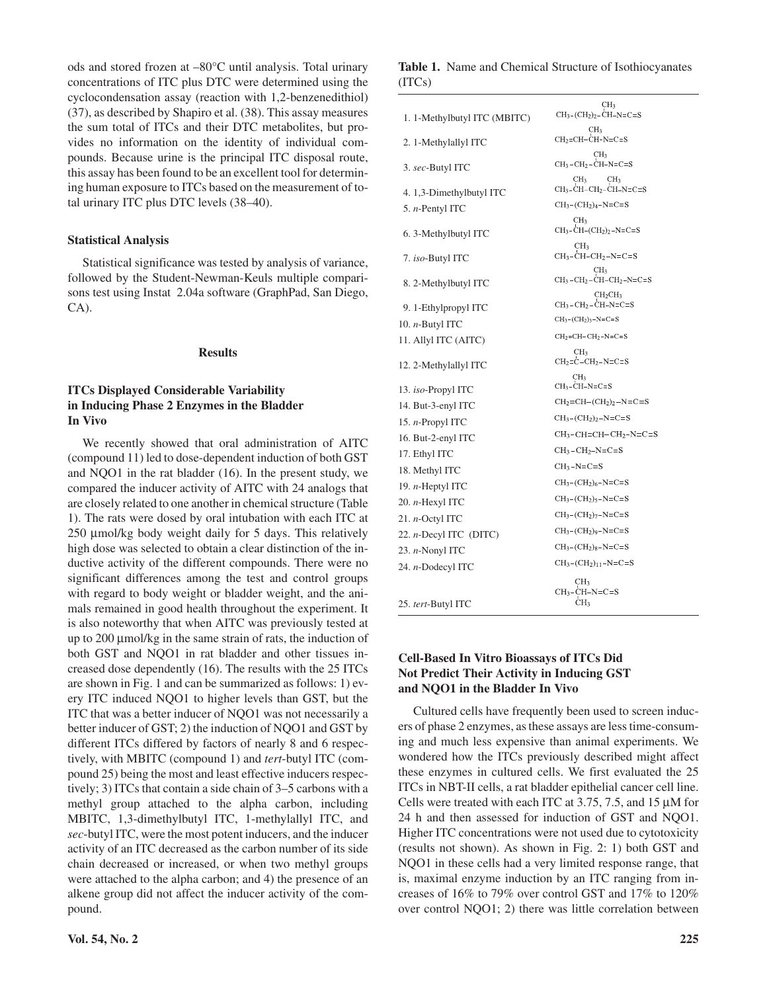ods and stored frozen at –80°C until analysis. Total urinary concentrations of ITC plus DTC were determined using the cyclocondensation assay (reaction with 1,2-benzenedithiol) (37), as described by Shapiro et al. (38). This assay measures the sum total of ITCs and their DTC metabolites, but provides no information on the identity of individual compounds. Because urine is the principal ITC disposal route, this assay has been found to be an excellent tool for determining human exposure to ITCs based on the measurement of total urinary ITC plus DTC levels (38–40).

#### **Statistical Analysis**

Statistical significance was tested by analysis of variance, followed by the Student-Newman-Keuls multiple comparisons test using Instat 2.04a software (GraphPad, San Diego, CA).

#### **Results**

## **ITCs Displayed Considerable Variability in Inducing Phase 2 Enzymes in the Bladder In Vivo**

We recently showed that oral administration of AITC (compound 11) led to dose-dependent induction of both GST and NQO1 in the rat bladder (16). In the present study, we compared the inducer activity of AITC with 24 analogs that are closely related to one another in chemical structure (Table 1). The rats were dosed by oral intubation with each ITC at 250 µmol/kg body weight daily for 5 days. This relatively high dose was selected to obtain a clear distinction of the inductive activity of the different compounds. There were no significant differences among the test and control groups with regard to body weight or bladder weight, and the animals remained in good health throughout the experiment. It is also noteworthy that when AITC was previously tested at up to 200 µmol/kg in the same strain of rats, the induction of both GST and NQO1 in rat bladder and other tissues increased dose dependently (16). The results with the 25 ITCs are shown in Fig. 1 and can be summarized as follows: 1) every ITC induced NQO1 to higher levels than GST, but the ITC that was a better inducer of NQO1 was not necessarily a better inducer of GST; 2) the induction of NQO1 and GST by different ITCs differed by factors of nearly 8 and 6 respectively, with MBITC (compound 1) and *tert*-butyl ITC (compound 25) being the most and least effective inducers respectively; 3) ITCs that contain a side chain of 3–5 carbons with a methyl group attached to the alpha carbon, including MBITC, 1,3-dimethylbutyl ITC, 1-methylallyl ITC, and *sec*-butyl ITC, were the most potent inducers, and the inducer activity of an ITC decreased as the carbon number of its side chain decreased or increased, or when two methyl groups were attached to the alpha carbon; and 4) the presence of an alkene group did not affect the inducer activity of the compound.

### **Table 1.** Name and Chemical Structure of Isothiocyanates (ITCs)

|                                                     | CH <sub>3</sub>                                                                                                             |
|-----------------------------------------------------|-----------------------------------------------------------------------------------------------------------------------------|
| 1. 1-Methylbutyl ITC (MBITC)                        | $CH3$ -(CH <sub>2</sub> ) <sub>2</sub> -CH-N=C=S                                                                            |
| 2. 1-Methylallyl ITC                                | CH <sub>3</sub><br>$CH2=CH-CH-N=C=S$                                                                                        |
| 3. sec-Butyl ITC                                    | CH <sub>3</sub><br>$CH3 - CH2 - CH-N = C = S$                                                                               |
| 4. 1,3-Dimethylbutyl ITC<br>5. <i>n</i> -Pentyl ITC | CH <sub>3</sub><br>CH <sub>3</sub><br>$CH3$ -CH-CH <sub>2</sub> -CH-N=C=S<br>$CH_3$ -(CH <sub>2</sub> ) <sub>4</sub> -N=C=S |
| 6. 3-Methylbutyl ITC                                | CH <sub>3</sub><br>$CH3-CH-(CH2)2-N=C=S$                                                                                    |
| 7. iso-Butyl ITC                                    | CH <sub>3</sub><br>$CH3-CH-CH2-N=C=S$                                                                                       |
| 8. 2-Methylbutyl ITC                                | CH <sub>3</sub><br>$CH3 - CH2 - CH - CH2 - N = C = S$                                                                       |
| 9. 1-Ethylpropyl ITC                                | CH <sub>2</sub> CH <sub>3</sub><br>$CH3 - CH2 - CH-N = C = S$                                                               |
| 10. $n$ -Butyl ITC                                  | $CH_3$ -(CH <sub>2</sub> ) <sub>3</sub> -N=C=S                                                                              |
| 11. Allyl ITC (AITC)                                | $CH2=CH-CH2-N=C=S$                                                                                                          |
| 12. 2-Methylallyl ITC                               | CH3<br>$CH2=C-CH2-N=C=S$                                                                                                    |
| 13. <i>iso</i> -Propyl ITC                          | CH3<br>$CH3-CH-N=CS$                                                                                                        |
| 14. But-3-enyl ITC                                  | $CH2=CH-(CH2)2-N=CS$                                                                                                        |
| 15. <i>n</i> -Propyl ITC                            | $CH_3$ -(CH <sub>2</sub> ) <sub>2</sub> -N=C=S                                                                              |
| 16. But-2-enyl ITC                                  | $CH3$ -CH=CH-CH <sub>2</sub> -N=C=S                                                                                         |
| 17. Ethyl ITC                                       | $CH_3$ -CH <sub>2</sub> -N=C=S                                                                                              |
| 18. Methyl ITC                                      | $CH3-N=C=S$                                                                                                                 |
| 19. <i>n</i> -Heptyl ITC                            | $CH3$ -(CH <sub>2</sub> ) <sub>6</sub> -N=C=S                                                                               |
| 20. <i>n</i> -Hexyl ITC                             | $CH_3$ -(CH <sub>2</sub> ) <sub>5</sub> -N=C=S                                                                              |
| 21. <i>n</i> -Octyl ITC                             | $CH_3$ -(CH <sub>2</sub> ) <sub>7</sub> -N=C=S                                                                              |
| 22. <i>n</i> -Decyl ITC (DITC)                      | $CH_3$ -(CH <sub>2</sub> ) <sub>9</sub> -N=C=S                                                                              |
| 23. <i>n</i> -Nonyl ITC                             | $CH3$ -(CH <sub>2</sub> ) <sub>8</sub> -N=C=S                                                                               |
| 24. <i>n</i> -Dodecyl ITC                           | $CH_3$ - $(CH_2)_{11}$ -N=C=S                                                                                               |
| 25. <i>tert</i> -Butyl ITC                          | CH <sub>3</sub><br>$CH3-CH-N=C=S$<br>CH <sub>3</sub>                                                                        |

## **Cell-Based In Vitro Bioassays of ITCs Did Not Predict Their Activity in Inducing GST and NQO1 in the Bladder In Vivo**

Cultured cells have frequently been used to screen inducers of phase 2 enzymes, as these assays are less time-consuming and much less expensive than animal experiments. We wondered how the ITCs previously described might affect these enzymes in cultured cells. We first evaluated the 25 ITCs in NBT-II cells, a rat bladder epithelial cancer cell line. Cells were treated with each ITC at 3.75, 7.5, and 15 µM for 24 h and then assessed for induction of GST and NQO1. Higher ITC concentrations were not used due to cytotoxicity (results not shown). As shown in Fig. 2: 1) both GST and NQO1 in these cells had a very limited response range, that is, maximal enzyme induction by an ITC ranging from increases of 16% to 79% over control GST and 17% to 120% over control NQO1; 2) there was little correlation between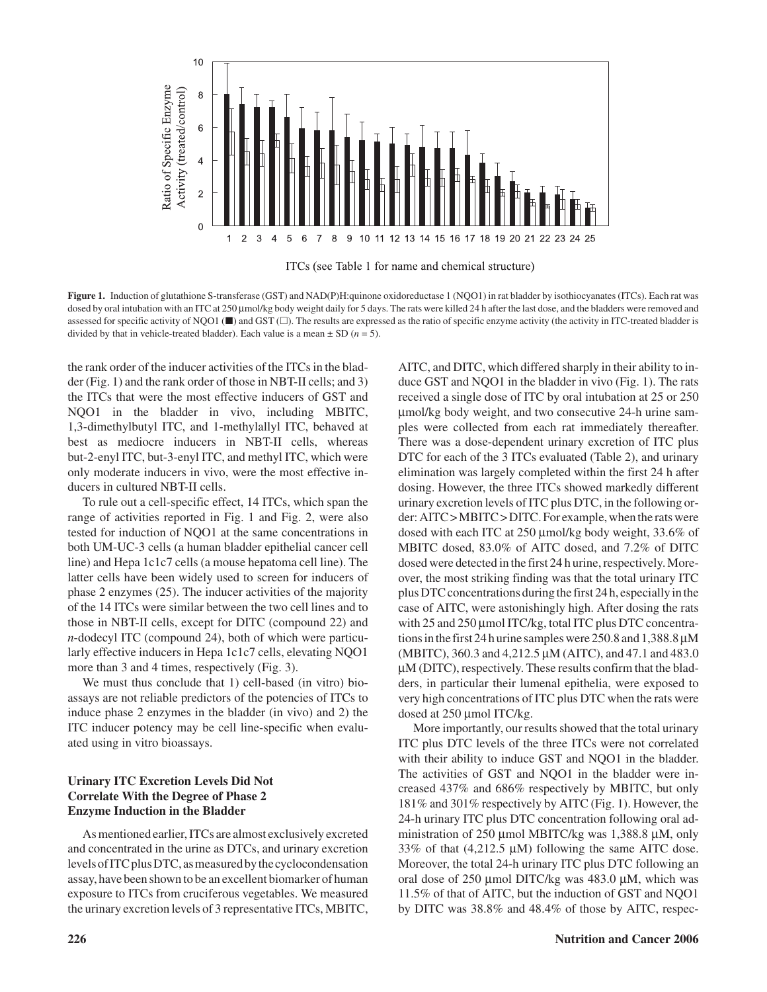

ITCs (see Table 1 for name and chemical structure)

**Figure 1.** Induction of glutathione S-transferase (GST) and NAD(P)H:quinone oxidoreductase 1 (NQO1) in rat bladder by isothiocyanates (ITCs). Each rat was dosed by oral intubation with an ITC at 250 µmol/kg body weight daily for 5 days. The rats were killed 24 h after the last dose, and the bladders were removed and assessed for specific activity of NQO1 ( $\blacksquare$ ) and GST ( $\Box$ ). The results are expressed as the ratio of specific enzyme activity (the activity in ITC-treated bladder is divided by that in vehicle-treated bladder). Each value is a mean  $\pm$  SD ( $n = 5$ ).

the rank order of the inducer activities of the ITCs in the bladder (Fig. 1) and the rank order of those in NBT-II cells; and 3) the ITCs that were the most effective inducers of GST and NQO1 in the bladder in vivo, including MBITC, 1,3-dimethylbutyl ITC, and 1-methylallyl ITC, behaved at best as mediocre inducers in NBT-II cells, whereas but-2-enyl ITC, but-3-enyl ITC, and methyl ITC, which were only moderate inducers in vivo, were the most effective inducers in cultured NBT-II cells.

To rule out a cell-specific effect, 14 ITCs, which span the range of activities reported in Fig. 1 and Fig. 2, were also tested for induction of NQO1 at the same concentrations in both UM-UC-3 cells (a human bladder epithelial cancer cell line) and Hepa 1c1c7 cells (a mouse hepatoma cell line). The latter cells have been widely used to screen for inducers of phase 2 enzymes (25). The inducer activities of the majority of the 14 ITCs were similar between the two cell lines and to those in NBT-II cells, except for DITC (compound 22) and *n*-dodecyl ITC (compound 24), both of which were particularly effective inducers in Hepa 1c1c7 cells, elevating NQO1 more than 3 and 4 times, respectively (Fig. 3).

We must thus conclude that 1) cell-based (in vitro) bioassays are not reliable predictors of the potencies of ITCs to induce phase 2 enzymes in the bladder (in vivo) and 2) the ITC inducer potency may be cell line-specific when evaluated using in vitro bioassays.

## **Urinary ITC Excretion Levels Did Not Correlate With the Degree of Phase 2 Enzyme Induction in the Bladder**

As mentioned earlier, ITCs are almost exclusively excreted and concentrated in the urine as DTCs, and urinary excretion levels of ITC plus DTC, as measured by the cyclocondensation assay, have been shown to be an excellent biomarker of human exposure to ITCs from cruciferous vegetables. We measured the urinary excretion levels of 3 representative ITCs, MBITC, AITC, and DITC, which differed sharply in their ability to induce GST and NQO1 in the bladder in vivo (Fig. 1). The rats received a single dose of ITC by oral intubation at 25 or 250 µmol/kg body weight, and two consecutive 24-h urine samples were collected from each rat immediately thereafter. There was a dose-dependent urinary excretion of ITC plus DTC for each of the 3 ITCs evaluated (Table 2), and urinary elimination was largely completed within the first 24 h after dosing. However, the three ITCs showed markedly different urinary excretion levels of ITC plus DTC, in the following order: AITC > MBITC > DITC. For example, when the rats were dosed with each ITC at 250 µmol/kg body weight, 33.6% of MBITC dosed, 83.0% of AITC dosed, and 7.2% of DITC dosed were detected in the first 24 h urine, respectively. Moreover, the most striking finding was that the total urinary ITC plus DTC concentrations during the first 24 h, especially in the case of AITC, were astonishingly high. After dosing the rats with 25 and 250 µmol ITC/kg, total ITC plus DTC concentrations in the first 24 h urine samples were 250.8 and 1,388.8µM (MBITC), 360.3 and 4,212.5 µM (AITC), and 47.1 and 483.0 µM (DITC), respectively. These results confirm that the bladders, in particular their lumenal epithelia, were exposed to very high concentrations of ITC plus DTC when the rats were dosed at 250 µmol ITC/kg.

More importantly, our results showed that the total urinary ITC plus DTC levels of the three ITCs were not correlated with their ability to induce GST and NQO1 in the bladder. The activities of GST and NQO1 in the bladder were increased 437% and 686% respectively by MBITC, but only 181% and 301% respectively by AITC (Fig. 1). However, the 24-h urinary ITC plus DTC concentration following oral administration of 250 µmol MBITC/kg was 1,388.8 µM, only 33% of that  $(4,212.5 \mu M)$  following the same AITC dose. Moreover, the total 24-h urinary ITC plus DTC following an oral dose of  $250 \mu \text{mol}$  DITC/kg was  $483.0 \mu \text{M}$ , which was 11.5% of that of AITC, but the induction of GST and NQO1 by DITC was 38.8% and 48.4% of those by AITC, respec-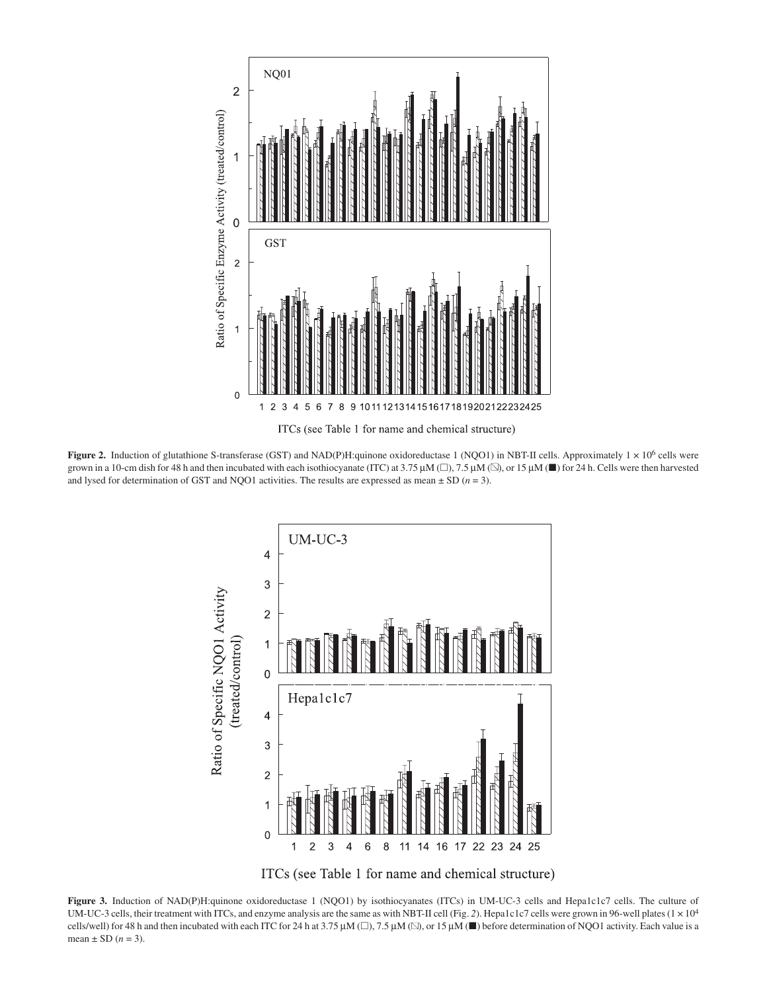

ITCs (see Table 1 for name and chemical structure)

**Figure 2.** Induction of glutathione S-transferase (GST) and NAD(P)H:quinone oxidoreductase 1 (NQO1) in NBT-II cells. Approximately  $1 \times 10^6$  cells were grown in a 10-cm dish for 48 h and then incubated with each isothiocyanate (ITC) at 3.75  $\mu$ M ( $\Box$ ), 7.5  $\mu$ M ( $\Box$ ), or 15  $\mu$ M ( $\Box$ ) for 24 h. Cells were then harvested and lysed for determination of GST and NQO1 activities. The results are expressed as mean  $\pm$  SD ( $n = 3$ ).



ITCs (see Table 1 for name and chemical structure)

**Figure 3.** Induction of NAD(P)H:quinone oxidoreductase 1 (NQO1) by isothiocyanates (ITCs) in UM-UC-3 cells and Hepa1c1c7 cells. The culture of UM-UC-3 cells, their treatment with ITCs, and enzyme analysis are the same as with NBT-II cell (Fig. 2). Hepa1c1c7 cells were grown in 96-well plates (1 × 10<sup>4</sup>) cells/well) for 48 h and then incubated with each ITC for 24 h at 3.75  $\mu$ M ( $\square$ ), 7.5  $\mu$ M ( $\square$ ), or 15  $\mu$ M ( $\square$ ) before determination of NQO1 activity. Each value is a mean  $\pm$  SD ( $n = 3$ ).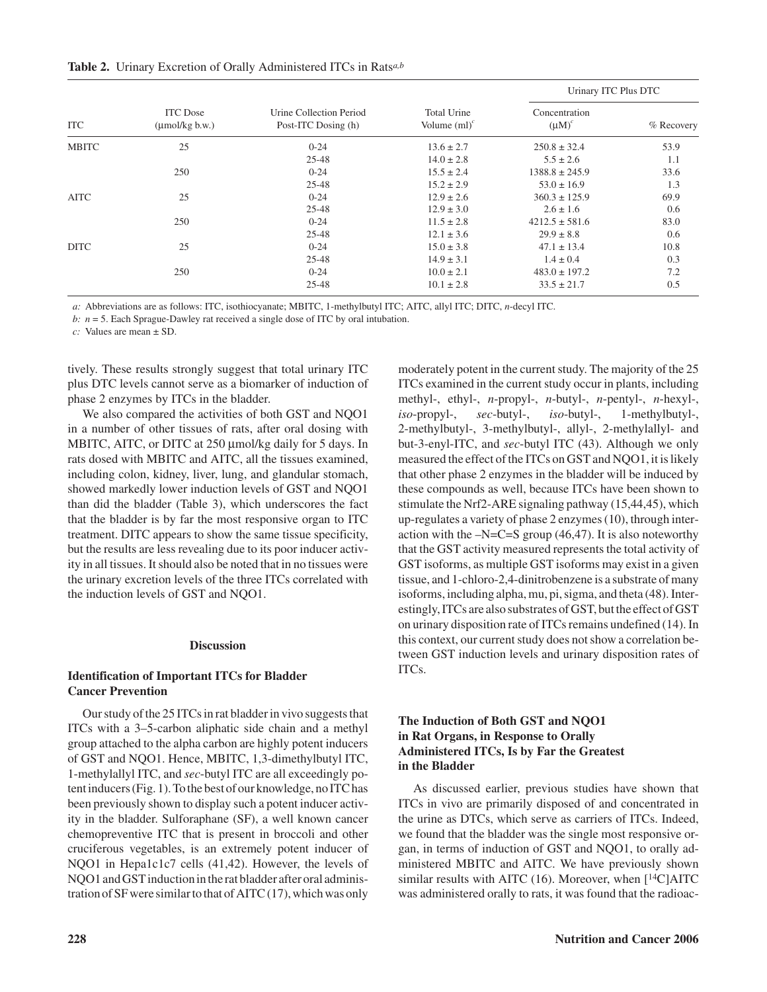|  | <b>Table 2.</b> Urinary Excretion of Orally Administered ITCs in Rats <sup><i>a,b</i></sup> |  |  |  |
|--|---------------------------------------------------------------------------------------------|--|--|--|
|  |                                                                                             |  |  |  |

| <b>ITC</b>   | <b>ITC</b> Dose<br>$(\text{umol/kg b.w.})$ |                                                |                                       | Urinary ITC Plus DTC      |            |  |
|--------------|--------------------------------------------|------------------------------------------------|---------------------------------------|---------------------------|------------|--|
|              |                                            | Urine Collection Period<br>Post-ITC Dosing (h) | <b>Total Urine</b><br>Volume $(ml)^c$ | Concentration<br>$(uM)^c$ | % Recovery |  |
| <b>MBITC</b> | 25                                         | $0 - 24$                                       | $13.6 \pm 2.7$                        | $250.8 \pm 32.4$          | 53.9       |  |
|              |                                            | $25 - 48$                                      | $14.0 \pm 2.8$                        | $5.5 \pm 2.6$             | 1.1        |  |
|              | 250                                        | $0 - 24$                                       | $15.5 \pm 2.4$                        | $1388.8 \pm 245.9$        | 33.6       |  |
|              |                                            | $25 - 48$                                      | $15.2 \pm 2.9$                        | $53.0 \pm 16.9$           | 1.3        |  |
| <b>AITC</b>  | 25                                         | $0 - 24$                                       | $12.9 \pm 2.6$                        | $360.3 \pm 125.9$         | 69.9       |  |
|              |                                            | $25 - 48$                                      | $12.9 \pm 3.0$                        | $2.6 \pm 1.6$             | 0.6        |  |
|              | 250                                        | $0 - 24$                                       | $11.5 \pm 2.8$                        | $4212.5 \pm 581.6$        | 83.0       |  |
|              |                                            | $25 - 48$                                      | $12.1 \pm 3.6$                        | $29.9 \pm 8.8$            | 0.6        |  |
| <b>DITC</b>  | 25                                         | $0 - 24$                                       | $15.0 \pm 3.8$                        | $47.1 \pm 13.4$           | 10.8       |  |
|              |                                            | $25 - 48$                                      | $14.9 \pm 3.1$                        | $1.4 \pm 0.4$             | 0.3        |  |
|              | 250                                        | $0 - 24$                                       | $10.0 \pm 2.1$                        | $483.0 \pm 197.2$         | 7.2        |  |
|              |                                            | $25 - 48$                                      | $10.1 \pm 2.8$                        | $33.5 \pm 21.7$           | 0.5        |  |

*a:* Abbreviations are as follows: ITC, isothiocyanate; MBITC, 1-methylbutyl ITC; AITC, allyl ITC; DITC, *n*-decyl ITC.

*b: n* = 5. Each Sprague-Dawley rat received a single dose of ITC by oral intubation.

*c:* Values are mean ± SD.

tively. These results strongly suggest that total urinary ITC plus DTC levels cannot serve as a biomarker of induction of phase 2 enzymes by ITCs in the bladder.

We also compared the activities of both GST and NQO1 in a number of other tissues of rats, after oral dosing with MBITC, AITC, or DITC at 250 µmol/kg daily for 5 days. In rats dosed with MBITC and AITC, all the tissues examined, including colon, kidney, liver, lung, and glandular stomach, showed markedly lower induction levels of GST and NQO1 than did the bladder (Table 3), which underscores the fact that the bladder is by far the most responsive organ to ITC treatment. DITC appears to show the same tissue specificity, but the results are less revealing due to its poor inducer activity in all tissues. It should also be noted that in no tissues were the urinary excretion levels of the three ITCs correlated with the induction levels of GST and NQO1.

#### **Discussion**

#### **Identification of Important ITCs for Bladder Cancer Prevention**

Our study of the 25 ITCs in rat bladder in vivo suggests that ITCs with a 3–5-carbon aliphatic side chain and a methyl group attached to the alpha carbon are highly potent inducers of GST and NQO1. Hence, MBITC, 1,3-dimethylbutyl ITC, 1-methylallyl ITC, and *sec*-butyl ITC are all exceedingly potent inducers (Fig. 1). To the best of our knowledge, no ITC has been previously shown to display such a potent inducer activity in the bladder. Sulforaphane (SF), a well known cancer chemopreventive ITC that is present in broccoli and other cruciferous vegetables, is an extremely potent inducer of NQO1 in Hepa1c1c7 cells (41,42). However, the levels of NQO1 and GST induction in the rat bladder after oral administration of SF were similar to that of AITC (17), which was only

moderately potent in the current study. The majority of the 25 ITCs examined in the current study occur in plants, including methyl-, ethyl-, *n*-propyl-, *n*-butyl-, *n*-pentyl-, *n*-hexyl-, *iso*-propyl-, *sec*-butyl-, *iso*-butyl-, 1-methylbutyl-, 2-methylbutyl-, 3-methylbutyl-, allyl-, 2-methylallyl- and but-3-enyl-ITC, and *sec*-butyl ITC (43). Although we only measured the effect of the ITCs on GST and NQO1, it is likely that other phase 2 enzymes in the bladder will be induced by these compounds as well, because ITCs have been shown to stimulate the Nrf2-ARE signaling pathway (15,44,45), which up-regulates a variety of phase 2 enzymes (10), through interaction with the  $-N=C=S$  group (46,47). It is also noteworthy that the GST activity measured represents the total activity of GST isoforms, as multiple GST isoforms may exist in a given tissue, and 1-chloro-2,4-dinitrobenzene is a substrate of many isoforms, including alpha, mu, pi, sigma, and theta (48). Interestingly, ITCs are also substrates of GST, but the effect of GST on urinary disposition rate of ITCs remains undefined (14). In this context, our current study does not show a correlation between GST induction levels and urinary disposition rates of ITCs.

### **The Induction of Both GST and NQO1 in Rat Organs, in Response to Orally Administered ITCs, Is by Far the Greatest in the Bladder**

As discussed earlier, previous studies have shown that ITCs in vivo are primarily disposed of and concentrated in the urine as DTCs, which serve as carriers of ITCs. Indeed, we found that the bladder was the single most responsive organ, in terms of induction of GST and NQO1, to orally administered MBITC and AITC. We have previously shown similar results with AITC (16). Moreover, when  $[14C]$ AITC was administered orally to rats, it was found that the radioac-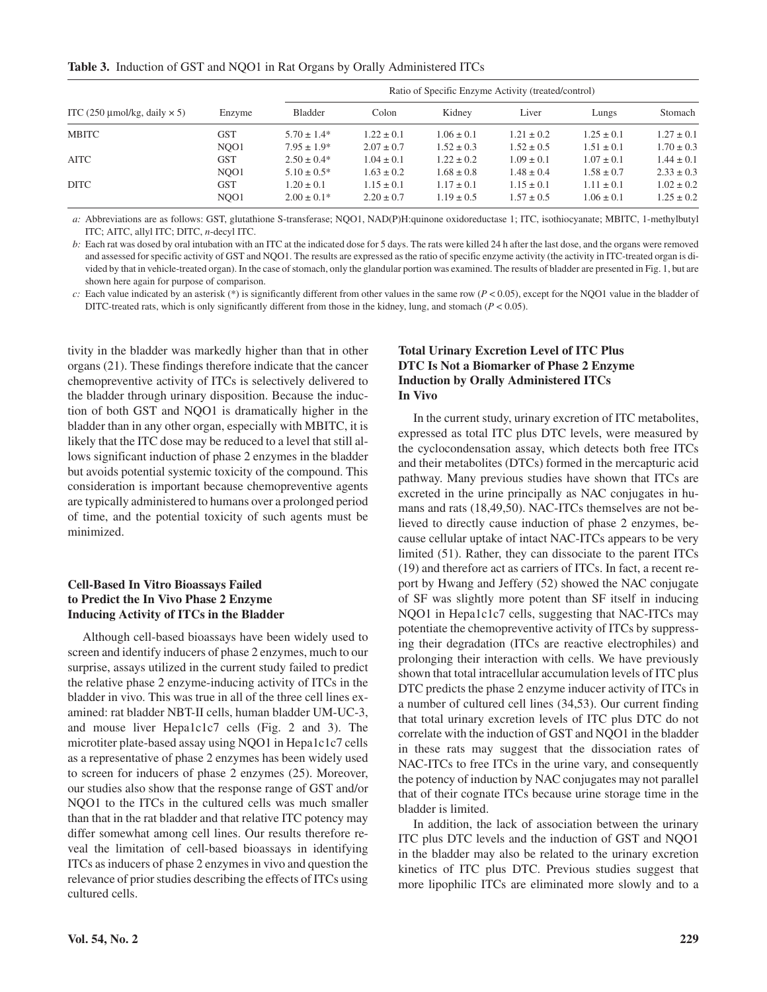**Table 3.** Induction of GST and NQO1 in Rat Organs by Orally Administered ITCs

|                                     | Enzyme           | Ratio of Specific Enzyme Activity (treated/control) |                |                |                |                |                |
|-------------------------------------|------------------|-----------------------------------------------------|----------------|----------------|----------------|----------------|----------------|
| ITC (250 µmol/kg, daily $\times$ 5) |                  | Bladder                                             | Colon          | Kidney         | Liver          | Lungs          | Stomach        |
| MBITC                               | <b>GST</b>       | $5.70 \pm 1.4*$                                     | $1.22 \pm 0.1$ | $1.06 \pm 0.1$ | $1.21 \pm 0.2$ | $1.25 \pm 0.1$ | $1.27 \pm 0.1$ |
|                                     | NO <sub>O1</sub> | $7.95 \pm 1.9*$                                     | $2.07 \pm 0.7$ | $1.52 \pm 0.3$ | $1.52 \pm 0.5$ | $1.51 \pm 0.1$ | $1.70 \pm 0.3$ |
| <b>AITC</b>                         | <b>GST</b>       | $2.50 \pm 0.4*$                                     | $1.04 \pm 0.1$ | $1.22 \pm 0.2$ | $1.09 \pm 0.1$ | $1.07 \pm 0.1$ | $1.44 \pm 0.1$ |
|                                     | NO <sub>O1</sub> | $5.10 \pm 0.5^*$                                    | $1.63 \pm 0.2$ | $1.68 \pm 0.8$ | $1.48 \pm 0.4$ | $1.58 \pm 0.7$ | $2.33 \pm 0.3$ |
| DITC.                               | <b>GST</b>       | $1.20 \pm 0.1$                                      | $1.15 \pm 0.1$ | $1.17 \pm 0.1$ | $1.15 \pm 0.1$ | $1.11 \pm 0.1$ | $1.02 \pm 0.2$ |
|                                     | NO <sub>O1</sub> | $2.00 \pm 0.1*$                                     | $2.20 \pm 0.7$ | $1.19 \pm 0.5$ | $1.57 \pm 0.5$ | $1.06 \pm 0.1$ | $1.25 \pm 0.2$ |

*a:* Abbreviations are as follows: GST, glutathione S-transferase; NQO1, NAD(P)H:quinone oxidoreductase 1; ITC, isothiocyanate; MBITC, 1-methylbutyl ITC; AITC, allyl ITC; DITC, *n*-decyl ITC.

*b:* Each rat was dosed by oral intubation with an ITC at the indicated dose for 5 days. The rats were killed 24 h after the last dose, and the organs were removed and assessed for specific activity of GST and NQO1. The results are expressed as the ratio of specific enzyme activity (the activity in ITC-treated organ is divided by that in vehicle-treated organ). In the case of stomach, only the glandular portion was examined. The results of bladder are presented in Fig. 1, but are shown here again for purpose of comparison.

*c*: Each value indicated by an asterisk (\*) is significantly different from other values in the same row ( $P < 0.05$ ), except for the NQO1 value in the bladder of DITC-treated rats, which is only significantly different from those in the kidney, lung, and stomach (*P* < 0.05).

tivity in the bladder was markedly higher than that in other organs (21). These findings therefore indicate that the cancer chemopreventive activity of ITCs is selectively delivered to the bladder through urinary disposition. Because the induction of both GST and NQO1 is dramatically higher in the bladder than in any other organ, especially with MBITC, it is likely that the ITC dose may be reduced to a level that still allows significant induction of phase 2 enzymes in the bladder but avoids potential systemic toxicity of the compound. This consideration is important because chemopreventive agents are typically administered to humans over a prolonged period of time, and the potential toxicity of such agents must be minimized.

## **Cell-Based In Vitro Bioassays Failed to Predict the In Vivo Phase 2 Enzyme Inducing Activity of ITCs in the Bladder**

Although cell-based bioassays have been widely used to screen and identify inducers of phase 2 enzymes, much to our surprise, assays utilized in the current study failed to predict the relative phase 2 enzyme-inducing activity of ITCs in the bladder in vivo. This was true in all of the three cell lines examined: rat bladder NBT-II cells, human bladder UM-UC-3, and mouse liver Hepa1c1c7 cells (Fig. 2 and 3). The microtiter plate-based assay using NQO1 in Hepa1c1c7 cells as a representative of phase 2 enzymes has been widely used to screen for inducers of phase 2 enzymes (25). Moreover, our studies also show that the response range of GST and/or NQO1 to the ITCs in the cultured cells was much smaller than that in the rat bladder and that relative ITC potency may differ somewhat among cell lines. Our results therefore reveal the limitation of cell-based bioassays in identifying ITCs as inducers of phase 2 enzymes in vivo and question the relevance of prior studies describing the effects of ITCs using cultured cells.

## **Total Urinary Excretion Level of ITC Plus DTC Is Not a Biomarker of Phase 2 Enzyme Induction by Orally Administered ITCs In Vivo**

In the current study, urinary excretion of ITC metabolites, expressed as total ITC plus DTC levels, were measured by the cyclocondensation assay, which detects both free ITCs and their metabolites (DTCs) formed in the mercapturic acid pathway. Many previous studies have shown that ITCs are excreted in the urine principally as NAC conjugates in humans and rats (18,49,50). NAC-ITCs themselves are not believed to directly cause induction of phase 2 enzymes, because cellular uptake of intact NAC-ITCs appears to be very limited (51). Rather, they can dissociate to the parent ITCs (19) and therefore act as carriers of ITCs. In fact, a recent report by Hwang and Jeffery (52) showed the NAC conjugate of SF was slightly more potent than SF itself in inducing NQO1 in Hepa1c1c7 cells, suggesting that NAC-ITCs may potentiate the chemopreventive activity of ITCs by suppressing their degradation (ITCs are reactive electrophiles) and prolonging their interaction with cells. We have previously shown that total intracellular accumulation levels of ITC plus DTC predicts the phase 2 enzyme inducer activity of ITCs in a number of cultured cell lines (34,53). Our current finding that total urinary excretion levels of ITC plus DTC do not correlate with the induction of GST and NQO1 in the bladder in these rats may suggest that the dissociation rates of NAC-ITCs to free ITCs in the urine vary, and consequently the potency of induction by NAC conjugates may not parallel that of their cognate ITCs because urine storage time in the bladder is limited.

In addition, the lack of association between the urinary ITC plus DTC levels and the induction of GST and NQO1 in the bladder may also be related to the urinary excretion kinetics of ITC plus DTC. Previous studies suggest that more lipophilic ITCs are eliminated more slowly and to a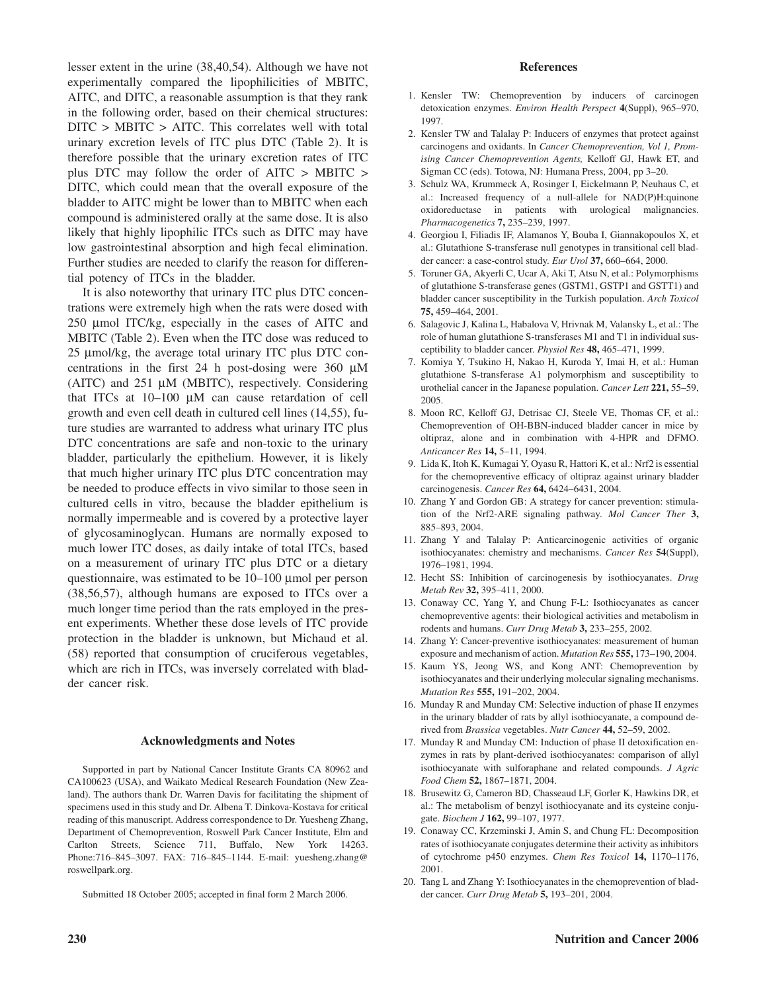lesser extent in the urine (38,40,54). Although we have not experimentally compared the lipophilicities of MBITC, AITC, and DITC, a reasonable assumption is that they rank in the following order, based on their chemical structures: DITC > MBITC > AITC. This correlates well with total urinary excretion levels of ITC plus DTC (Table 2). It is therefore possible that the urinary excretion rates of ITC plus DTC may follow the order of AITC > MBITC > DITC, which could mean that the overall exposure of the bladder to AITC might be lower than to MBITC when each compound is administered orally at the same dose. It is also likely that highly lipophilic ITCs such as DITC may have low gastrointestinal absorption and high fecal elimination. Further studies are needed to clarify the reason for differential potency of ITCs in the bladder.

It is also noteworthy that urinary ITC plus DTC concentrations were extremely high when the rats were dosed with 250 µmol ITC/kg, especially in the cases of AITC and MBITC (Table 2). Even when the ITC dose was reduced to 25 µmol/kg, the average total urinary ITC plus DTC concentrations in the first 24 h post-dosing were 360  $\mu$ M (AITC) and 251 µM (MBITC), respectively. Considering that ITCs at 10–100 µM can cause retardation of cell growth and even cell death in cultured cell lines (14,55), future studies are warranted to address what urinary ITC plus DTC concentrations are safe and non-toxic to the urinary bladder, particularly the epithelium. However, it is likely that much higher urinary ITC plus DTC concentration may be needed to produce effects in vivo similar to those seen in cultured cells in vitro, because the bladder epithelium is normally impermeable and is covered by a protective layer of glycosaminoglycan. Humans are normally exposed to much lower ITC doses, as daily intake of total ITCs, based on a measurement of urinary ITC plus DTC or a dietary questionnaire, was estimated to be 10–100 µmol per person (38,56,57), although humans are exposed to ITCs over a much longer time period than the rats employed in the present experiments. Whether these dose levels of ITC provide protection in the bladder is unknown, but Michaud et al. (58) reported that consumption of cruciferous vegetables, which are rich in ITCs, was inversely correlated with bladder cancer risk.

#### **Acknowledgments and Notes**

Supported in part by National Cancer Institute Grants CA 80962 and CA100623 (USA), and Waikato Medical Research Foundation (New Zealand). The authors thank Dr. Warren Davis for facilitating the shipment of specimens used in this study and Dr. Albena T. Dinkova-Kostava for critical reading of this manuscript. Address correspondence to Dr. Yuesheng Zhang, Department of Chemoprevention, Roswell Park Cancer Institute, Elm and Carlton Streets, Science 711, Buffalo, New York 14263. Phone:716–845–3097. FAX: 716–845–1144. E-mail: yuesheng.zhang@ roswellpark.org.

Submitted 18 October 2005; accepted in final form 2 March 2006.

#### **References**

- 1. Kensler TW: Chemoprevention by inducers of carcinogen detoxication enzymes. *Environ Health Perspect* **4**(Suppl), 965–970, 1997.
- 2. Kensler TW and Talalay P: Inducers of enzymes that protect against carcinogens and oxidants. In *Cancer Chemoprevention, Vol 1, Promising Cancer Chemoprevention Agents,* Kelloff GJ, Hawk ET, and Sigman CC (eds). Totowa, NJ: Humana Press, 2004, pp 3–20.
- 3. Schulz WA, Krummeck A, Rosinger I, Eickelmann P, Neuhaus C, et al.: Increased frequency of a null-allele for NAD(P)H:quinone oxidoreductase in patients with urological malignancies. *Pharmacogenetics* **7,** 235–239, 1997.
- 4. Georgiou I, Filiadis IF, Alamanos Y, Bouba I, Giannakopoulos X, et al.: Glutathione S-transferase null genotypes in transitional cell bladder cancer: a case-control study. *Eur Urol* **37,** 660–664, 2000.
- 5. Toruner GA, Akyerli C, Ucar A, Aki T, Atsu N, et al.: Polymorphisms of glutathione S-transferase genes (GSTM1, GSTP1 and GSTT1) and bladder cancer susceptibility in the Turkish population. *Arch Toxicol* **75,** 459–464, 2001.
- 6. Salagovic J, Kalina L, Habalova V, Hrivnak M, Valansky L, et al.: The role of human glutathione S-transferases M1 and T1 in individual susceptibility to bladder cancer. *Physiol Res* **48,** 465–471, 1999.
- 7. Komiya Y, Tsukino H, Nakao H, Kuroda Y, Imai H, et al.: Human glutathione S-transferase A1 polymorphism and susceptibility to urothelial cancer in the Japanese population. *Cancer Lett* **221,** 55–59, 2005.
- 8. Moon RC, Kelloff GJ, Detrisac CJ, Steele VE, Thomas CF, et al.: Chemoprevention of OH-BBN-induced bladder cancer in mice by oltipraz, alone and in combination with 4-HPR and DFMO. *Anticancer Res* **14,** 5–11, 1994.
- 9. Lida K, Itoh K, Kumagai Y, Oyasu R, Hattori K, et al.: Nrf2 is essential for the chemopreventive efficacy of oltipraz against urinary bladder carcinogenesis. *Cancer Res* **64,** 6424–6431, 2004.
- 10. Zhang Y and Gordon GB: A strategy for cancer prevention: stimulation of the Nrf2-ARE signaling pathway. *Mol Cancer Ther* **3,** 885–893, 2004.
- 11. Zhang Y and Talalay P: Anticarcinogenic activities of organic isothiocyanates: chemistry and mechanisms. *Cancer Res* **54**(Suppl), 1976–1981, 1994.
- 12. Hecht SS: Inhibition of carcinogenesis by isothiocyanates. *Drug Metab Rev* **32,** 395–411, 2000.
- 13. Conaway CC, Yang Y, and Chung F-L: Isothiocyanates as cancer chemopreventive agents: their biological activities and metabolism in rodents and humans. *Curr Drug Metab* **3,** 233–255, 2002.
- 14. Zhang Y: Cancer-preventive isothiocyanates: measurement of human exposure and mechanism of action. *Mutation Res* **555,** 173–190, 2004.
- 15. Kaum YS, Jeong WS, and Kong ANT: Chemoprevention by isothiocyanates and their underlying molecular signaling mechanisms. *Mutation Res* **555,** 191–202, 2004.
- 16. Munday R and Munday CM: Selective induction of phase II enzymes in the urinary bladder of rats by allyl isothiocyanate, a compound derived from *Brassica* vegetables. *Nutr Cancer* **44,** 52–59, 2002.
- 17. Munday R and Munday CM: Induction of phase II detoxification enzymes in rats by plant-derived isothiocyanates: comparison of allyl isothiocyanate with sulforaphane and related compounds. *J Agric Food Chem* **52,** 1867–1871, 2004.
- 18. Brusewitz G, Cameron BD, Chasseaud LF, Gorler K, Hawkins DR, et al.: The metabolism of benzyl isothiocyanate and its cysteine conjugate. *Biochem J* **162,** 99–107, 1977.
- 19. Conaway CC, Krzeminski J, Amin S, and Chung FL: Decomposition rates of isothiocyanate conjugates determine their activity as inhibitors of cytochrome p450 enzymes. *Chem Res Toxicol* **14,** 1170–1176, 2001.
- 20. Tang L and Zhang Y: Isothiocyanates in the chemoprevention of bladder cancer. *Curr Drug Metab* **5,** 193–201, 2004.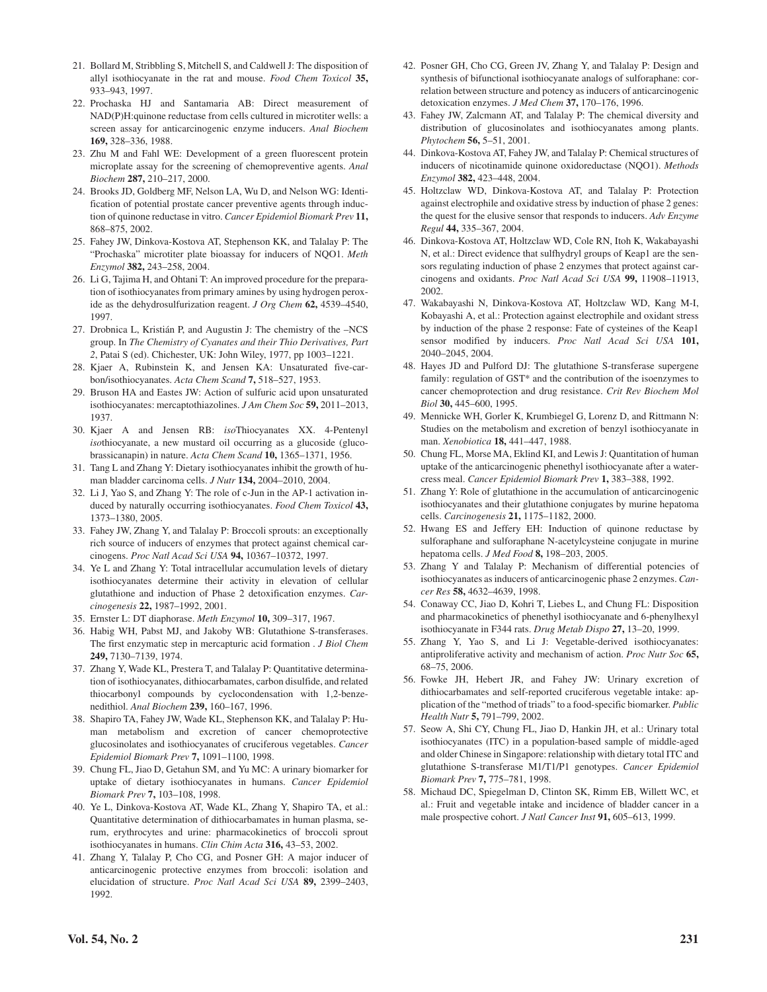- 21. Bollard M, Stribbling S, Mitchell S, and Caldwell J: The disposition of allyl isothiocyanate in the rat and mouse. *Food Chem Toxicol* **35,** 933–943, 1997.
- 22. Prochaska HJ and Santamaria AB: Direct measurement of NAD(P)H:quinone reductase from cells cultured in microtiter wells: a screen assay for anticarcinogenic enzyme inducers. *Anal Biochem* **169,** 328–336, 1988.
- 23. Zhu M and Fahl WE: Development of a green fluorescent protein microplate assay for the screening of chemopreventive agents. *Anal Biochem* **287,** 210–217, 2000.
- 24. Brooks JD, Goldberg MF, Nelson LA, Wu D, and Nelson WG: Identification of potential prostate cancer preventive agents through induction of quinone reductase in vitro. *Cancer Epidemiol Biomark Prev* **11,** 868–875, 2002.
- 25. Fahey JW, Dinkova-Kostova AT, Stephenson KK, and Talalay P: The "Prochaska" microtiter plate bioassay for inducers of NQO1. *Meth Enzymol* **382,** 243–258, 2004.
- 26. Li G, Tajima H, and Ohtani T: An improved procedure for the preparation of isothiocyanates from primary amines by using hydrogen peroxide as the dehydrosulfurization reagent. *J Org Chem* **62,** 4539–4540, 1997.
- 27. Drobnica L, Kristián P, and Augustin J: The chemistry of the –NCS group. In *The Chemistry of Cyanates and their Thio Derivatives, Part 2*, Patai S (ed). Chichester, UK: John Wiley, 1977, pp 1003–1221.
- 28. Kjaer A, Rubinstein K, and Jensen KA: Unsaturated five-carbon/isothiocyanates. *Acta Chem Scand* **7,** 518–527, 1953.
- 29. Bruson HA and Eastes JW: Action of sulfuric acid upon unsaturated isothiocyanates: mercaptothiazolines. *J Am Chem Soc* **59,** 2011–2013, 1937.
- 30. Kjaer A and Jensen RB: *iso*Thiocyanates XX. 4-Pentenyl *iso*thiocyanate, a new mustard oil occurring as a glucoside (glucobrassicanapin) in nature. *Acta Chem Scand* **10,** 1365–1371, 1956.
- 31. Tang L and Zhang Y: Dietary isothiocyanates inhibit the growth of human bladder carcinoma cells. *J Nutr* **134,** 2004–2010, 2004.
- 32. Li J, Yao S, and Zhang Y: The role of c-Jun in the AP-1 activation induced by naturally occurring isothiocyanates. *Food Chem Toxicol* **43,** 1373–1380, 2005.
- 33. Fahey JW, Zhang Y, and Talalay P: Broccoli sprouts: an exceptionally rich source of inducers of enzymes that protect against chemical carcinogens. *Proc Natl Acad Sci USA* **94,** 10367–10372, 1997.
- 34. Ye L and Zhang Y: Total intracellular accumulation levels of dietary isothiocyanates determine their activity in elevation of cellular glutathione and induction of Phase 2 detoxification enzymes. *Carcinogenesis* **22,** 1987–1992, 2001.
- 35. Ernster L: DT diaphorase. *Meth Enzymol* **10,** 309–317, 1967.
- 36. Habig WH, Pabst MJ, and Jakoby WB: Glutathione S-transferases. The first enzymatic step in mercapturic acid formation . *J Biol Chem* **249,** 7130–7139, 1974.
- 37. Zhang Y, Wade KL, Prestera T, and Talalay P: Quantitative determination of isothiocyanates, dithiocarbamates, carbon disulfide, and related thiocarbonyl compounds by cyclocondensation with 1,2-benzenedithiol. *Anal Biochem* **239,** 160–167, 1996.
- 38. Shapiro TA, Fahey JW, Wade KL, Stephenson KK, and Talalay P: Human metabolism and excretion of cancer chemoprotective glucosinolates and isothiocyanates of cruciferous vegetables. *Cancer Epidemiol Biomark Prev* **7,** 1091–1100, 1998.
- 39. Chung FL, Jiao D, Getahun SM, and Yu MC: A urinary biomarker for uptake of dietary isothiocyanates in humans. *Cancer Epidemiol Biomark Prev* **7,** 103–108, 1998.
- 40. Ye L, Dinkova-Kostova AT, Wade KL, Zhang Y, Shapiro TA, et al.: Quantitative determination of dithiocarbamates in human plasma, serum, erythrocytes and urine: pharmacokinetics of broccoli sprout isothiocyanates in humans. *Clin Chim Acta* **316,** 43–53, 2002.
- 41. Zhang Y, Talalay P, Cho CG, and Posner GH: A major inducer of anticarcinogenic protective enzymes from broccoli: isolation and elucidation of structure. *Proc Natl Acad Sci USA* **89,** 2399–2403, 1992.
- 42. Posner GH, Cho CG, Green JV, Zhang Y, and Talalay P: Design and synthesis of bifunctional isothiocyanate analogs of sulforaphane: correlation between structure and potency as inducers of anticarcinogenic detoxication enzymes. *J Med Chem* **37,** 170–176, 1996.
- 43. Fahey JW, Zalcmann AT, and Talalay P: The chemical diversity and distribution of glucosinolates and isothiocyanates among plants. *Phytochem* **56,** 5–51, 2001.
- 44. Dinkova-Kostova AT, Fahey JW, and Talalay P: Chemical structures of inducers of nicotinamide quinone oxidoreductase (NQO1). *Methods Enzymol* **382,** 423–448, 2004.
- 45. Holtzclaw WD, Dinkova-Kostova AT, and Talalay P: Protection against electrophile and oxidative stress by induction of phase 2 genes: the quest for the elusive sensor that responds to inducers. *Adv Enzyme Regul* **44,** 335–367, 2004.
- 46. Dinkova-Kostova AT, Holtzclaw WD, Cole RN, Itoh K, Wakabayashi N, et al.: Direct evidence that sulfhydryl groups of Keap1 are the sensors regulating induction of phase 2 enzymes that protect against carcinogens and oxidants. *Proc Natl Acad Sci USA* **99,** 11908–11913, 2002.
- 47. Wakabayashi N, Dinkova-Kostova AT, Holtzclaw WD, Kang M-I, Kobayashi A, et al.: Protection against electrophile and oxidant stress by induction of the phase 2 response: Fate of cysteines of the Keap1 sensor modified by inducers. *Proc Natl Acad Sci USA* **101,** 2040–2045, 2004.
- 48. Hayes JD and Pulford DJ: The glutathione S-transferase supergene family: regulation of GST\* and the contribution of the isoenzymes to cancer chemoprotection and drug resistance. *Crit Rev Biochem Mol Biol* **30,** 445–600, 1995.
- 49. Mennicke WH, Gorler K, Krumbiegel G, Lorenz D, and Rittmann N: Studies on the metabolism and excretion of benzyl isothiocyanate in man. *Xenobiotica* **18,** 441–447, 1988.
- 50. Chung FL, Morse MA, Eklind KI, and Lewis J: Quantitation of human uptake of the anticarcinogenic phenethyl isothiocyanate after a watercress meal. *Cancer Epidemiol Biomark Prev* **1,** 383–388, 1992.
- 51. Zhang Y: Role of glutathione in the accumulation of anticarcinogenic isothiocyanates and their glutathione conjugates by murine hepatoma cells. *Carcinogenesis* **21,** 1175–1182, 2000.
- 52. Hwang ES and Jeffery EH: Induction of quinone reductase by sulforaphane and sulforaphane N-acetylcysteine conjugate in murine hepatoma cells. *J Med Food* **8,** 198–203, 2005.
- 53. Zhang Y and Talalay P: Mechanism of differential potencies of isothiocyanates as inducers of anticarcinogenic phase 2 enzymes. *Cancer Res* **58,** 4632–4639, 1998.
- 54. Conaway CC, Jiao D, Kohri T, Liebes L, and Chung FL: Disposition and pharmacokinetics of phenethyl isothiocyanate and 6-phenylhexyl isothiocyanate in F344 rats. *Drug Metab Dispo* **27,** 13–20, 1999.
- 55. Zhang Y, Yao S, and Li J: Vegetable-derived isothiocyanates: antiproliferative activity and mechanism of action. *Proc Nutr Soc* **65,** 68–75, 2006.
- 56. Fowke JH, Hebert JR, and Fahey JW: Urinary excretion of dithiocarbamates and self-reported cruciferous vegetable intake: application of the "method of triads" to a food-specific biomarker. *Public Health Nutr* **5,** 791–799, 2002.
- 57. Seow A, Shi CY, Chung FL, Jiao D, Hankin JH, et al.: Urinary total isothiocyanates (ITC) in a population-based sample of middle-aged and older Chinese in Singapore: relationship with dietary total ITC and glutathione S-transferase M1/T1/P1 genotypes. *Cancer Epidemiol Biomark Prev* **7,** 775–781, 1998.
- 58. Michaud DC, Spiegelman D, Clinton SK, Rimm EB, Willett WC, et al.: Fruit and vegetable intake and incidence of bladder cancer in a male prospective cohort. *J Natl Cancer Inst* **91,** 605–613, 1999.